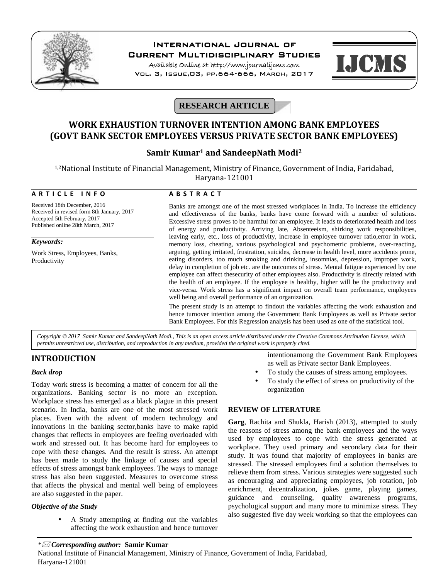

# **International Journal of**

**Current Multidisciplinary Studies**

**Available Online at http://www.journalijcms.com** Vol. 3, Issue,03, pp.664-666, March, 2017



# **RESEARCH ARTICLE**

# **WORK EXHAUSTION TURNOVER INTENTION AMONG BANK EMPLOYEES (GOVT BANK SECTOR EMPLOYEES VERSUS PRIVATE SECTOR BANK EMPLOYEES)**

## **Samir Kumar<sup>1</sup> and SandeepNath Modi<sup>2</sup>**

| Samir Kumar <sup>1</sup> and SandeepNath Modi <sup>2</sup><br><sup>1,2</sup> National Institute of Financial Management, Ministry of Finance, Government of India, Faridabad,<br>Haryana-121001 |                                                                                                                                                                                                                                                                                                                                                                                                                                                                                                                                                                                                                                                                                                                                                                                                                                                                                                                                                                                                                                                                                                                                                                                                                                   |
|-------------------------------------------------------------------------------------------------------------------------------------------------------------------------------------------------|-----------------------------------------------------------------------------------------------------------------------------------------------------------------------------------------------------------------------------------------------------------------------------------------------------------------------------------------------------------------------------------------------------------------------------------------------------------------------------------------------------------------------------------------------------------------------------------------------------------------------------------------------------------------------------------------------------------------------------------------------------------------------------------------------------------------------------------------------------------------------------------------------------------------------------------------------------------------------------------------------------------------------------------------------------------------------------------------------------------------------------------------------------------------------------------------------------------------------------------|
|                                                                                                                                                                                                 |                                                                                                                                                                                                                                                                                                                                                                                                                                                                                                                                                                                                                                                                                                                                                                                                                                                                                                                                                                                                                                                                                                                                                                                                                                   |
| Received 18th December, 2016<br>Received in revised form 8th January, 2017<br>Accepted 5th February, 2017<br>Published online 28th March, 2017                                                  | Banks are amongst one of the most stressed workplaces in India. To increase the efficiency<br>and effectiveness of the banks, banks have come forward with a number of solutions.<br>Excessive stress proves to be harmful for an employee. It leads to deteriorated health and loss<br>of energy and productivity. Arriving late, Absenteeism, shirking work responsibilities,<br>leaving early, etc., loss of productivity, increase in employee turnover ratio, error in work,<br>memory loss, cheating, various psychological and psychometric problems, over-reacting,<br>arguing, getting irritated, frustration, suicides, decrease in health level, more accidents prone,<br>eating disorders, too much smoking and drinking, insomnias, depression, improper work,<br>delay in completion of job etc. are the outcomes of stress. Mental fatigue experienced by one<br>employee can affect thesecurity of other employees also. Productivity is directly related with<br>the health of an employee. If the employee is healthy, higher will be the productivity and<br>vice-versa. Work stress has a significant impact on overall team performance, employees<br>well being and overall performance of an organization. |
| Keywords:                                                                                                                                                                                       |                                                                                                                                                                                                                                                                                                                                                                                                                                                                                                                                                                                                                                                                                                                                                                                                                                                                                                                                                                                                                                                                                                                                                                                                                                   |
| Work Stress, Employees, Banks,<br>Productivity                                                                                                                                                  |                                                                                                                                                                                                                                                                                                                                                                                                                                                                                                                                                                                                                                                                                                                                                                                                                                                                                                                                                                                                                                                                                                                                                                                                                                   |
|                                                                                                                                                                                                 | The present study is an attempt to findout the variables affecting the work exhaustion and<br>hence turnover intention among the Government Bank Employees as well as Private sector<br>Bank Employees. For this Regression analysis has been used as one of the statistical tool.                                                                                                                                                                                                                                                                                                                                                                                                                                                                                                                                                                                                                                                                                                                                                                                                                                                                                                                                                |

*Copyright © 2017 Samir Kumar and SandeepNath Modi., This is an open access article distributed under the Creative Commons Attribution License, which permits unrestricted use, distribution, and reproduction in any medium, provided the original work is properly cited.*

## **INTRODUCTION**

### *Back drop*

Today work stress is becoming a matter of concern for all the organizations. Banking sector is no more an exception. Workplace stress has emerged as a black plague in this present scenario. In India, banks are one of the most stressed work places. Even with the advent of modern technology and innovations in the banking sector,banks have to make rapid changes that reflects in employees are feeling overloaded with work and stressed out. It has become hard for employees to cope with these changes. And the result is stress. An attempt has been made to study the linkage of causes and special effects of stress amongst bank employees. The ways to manage stress has also been suggested. Measures to overcome stress that affects the physical and mental well being of employees are also suggested in the paper.

#### *Objective of the Study*

 A Study attempting at finding out the variables affecting the work exhaustion and hence turnover intentionamong the Government Bank Employees as well as Private sector Bank Employees.

- To study the causes of stress among employees.
- To study the effect of stress on productivity of the organization

### **REVIEW OF LITERATURE**

**Garg**, Rachita and Shukla, Harish (2013), attempted to study the reasons of stress among the bank employees and the ways used by employees to cope with the stress generated at workplace. They used primary and secondary data for their study. It was found that majority of employees in banks are stressed. The stressed employees find a solution themselves to relieve them from stress. Various strategies were suggested such as encouraging and appreciating employees, job rotation, job enrichment, decentralization, jokes game, playing games, guidance and counseling, quality awareness programs, psychological support and many more to minimize stress. They also suggested five day week working so that the employees can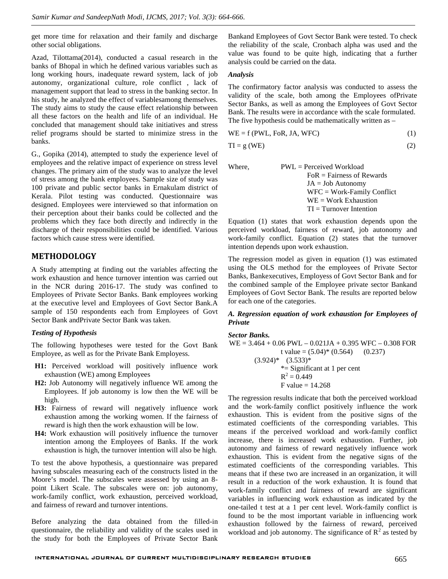get more time for relaxation and their family and discharge other social obligations.

Azad, Tilottama(2014), conducted a casual research in the banks of Bhopal in which he defined various variables such as long working hours, inadequate reward system, lack of job autonomy, organizational culture, role conflict , lack of management support that lead to stress in the banking sector. In his study, he analyzed the effect of variablesamong themselves. The study aims to study the cause effect relationship between all these factors on the health and life of an individual. He concluded that management should take initiatives and stress relief programs should be started to minimize stress in the banks.

G., Gopika (2014), attempted to study the experience level of employees and the relative impact of experience on stress level changes. The primary aim of the study was to analyze the level of stress among the bank employees. Sample size of study was 100 private and public sector banks in Ernakulam district of Kerala. Pilot testing was conducted. Questionnaire was designed. Employees were interviewed so that information on their perception about their banks could be collected and the problems which they face both directly and indirectly in the discharge of their responsibilities could be identified. Various factors which cause stress were identified.

### **METHODOLOGY**

A Study attempting at finding out the variables affecting the work exhaustion and hence turnover intention was carried out in the NCR during 2016-17. The study was confined to Employees of Private Sector Banks. Bank employees working at the executive level and Employees of Govt Sector Bank.A sample of 150 respondents each from Employees of Govt Sector Bank andPrivate Sector Bank was taken.

#### *Testing of Hypothesis*

The following hypotheses were tested for the Govt Bank Employee, as well as for the Private Bank Employess.

- **H1:** Perceived workload will positively influence work exhaustion (WE) among Employees
- **H2:** Job Autonomy will negatively influence WE among the Employees. If job autonomy is low then the WE will be high.
- **H3:** Fairness of reward will negatively influence work exhaustion among the working women. If the fairness of reward is high then the work exhaustion will be low.
- **H4:** Work exhaustion will positively influence the turnover intention among the Employees of Banks. If the work exhaustion is high, the turnover intention will also be high.

To test the above hypothesis, a questionnaire was prepared having subscales measuring each of the constructs listed in the Moore's model. The subscales were assessed by using an 8 point Likert Scale. The subscales were on: job autonomy, work-family conflict, work exhaustion, perceived workload, and fairness of reward and turnover intentions.

Before analyzing the data obtained from the filled-in questionnaire, the reliability and validity of the scales used in the study for both the Employees of Private Sector Bank

Bankand Employees of Govt Sector Bank were tested. To check the reliability of the scale, Cronbach alpha was used and the value was found to be quite high, indicating that a further analysis could be carried on the data.

#### *Analysis*

The confirmatory factor analysis was conducted to assess the validity of the scale, both among the Employees ofPrivate Sector Banks, as well as among the Employees of Govt Sector Bank. The results were in accordance with the scale formulated. The five hypothesis could be mathematically written as –

$$
WE = f(PWL, FoR, JA, WFC)
$$
 (1)

$$
TI = g (WE)
$$
 (2)

 $PWL =$  Perceived Workload  $FoR = \text{Fairness of }$  Rewards JA = Job Autonomy WFC = Work-Family Conflict WE = Work Exhaustion  $TI = Turnover$  Intention

Equation (1) states that work exhaustion depends upon the perceived workload, fairness of reward, job autonomy and work-family conflict. Equation (2) states that the turnover intention depends upon work exhaustion.

The regression model as given in equation (1) was estimated using the OLS method for the employees of Private Sector Banks, Bankexecutives, Employess of Govt Sector Bank and for the combined sample of the Employee private sector Bankand Employees of Govt Sector Bank. The results are reported below for each one of the categories.

#### *A. Regression equation of work exhaustion for Employees of Private*

#### *Sector Banks.*

 $WE = 3.464 + 0.06$  PWL –  $0.021JA + 0.395$  WFC – 0.308 FOR t value =  $(5.04)$ \*  $(0.564)$  (0.237)  $(3.924)^*$   $(3.533)^*$ \*= Significant at 1 per cent  $R^2 = 0.449$  $F$  value = 14.268

The regression results indicate that both the perceived workload and the work-family conflict positively influence the work exhaustion. This is evident from the positive signs of the estimated coefficients of the corresponding variables. This means if the perceived workload and work-family conflict increase, there is increased work exhaustion. Further, job autonomy and fairness of reward negatively influence work exhaustion. This is evident from the negative signs of the estimated coefficients of the corresponding variables. This means that if these two are increased in an organization, it will result in a reduction of the work exhaustion. It is found that work-family conflict and fairness of reward are significant variables in influencing work exhaustion as indicated by the one-tailed t test at a 1 per cent level. Work-family conflict is found to be the most important variable in influencing work exhaustion followed by the fairness of reward, perceived workload and job autonomy. The significance of  $R^2$  as tested by